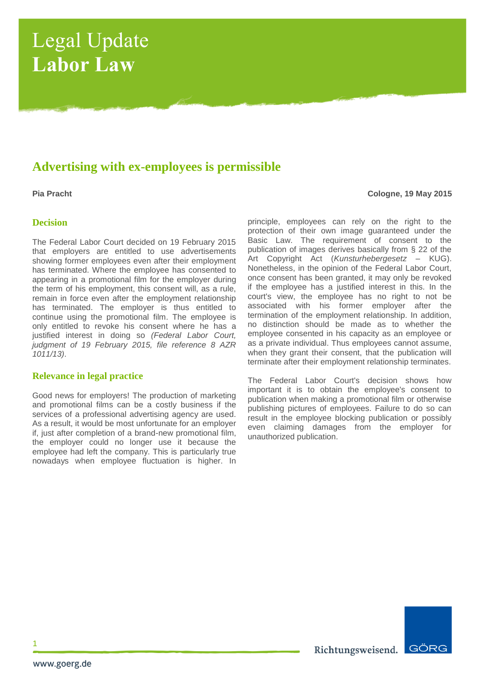# Legal Update **Labor Law**

# **Advertising with ex-employees is permissible**

**Pia Pracht Cologne, 19 May 2015**

# **Decision**

The Federal Labor Court decided on 19 February 2015 that employers are entitled to use advertisements showing former employees even after their employment has terminated. Where the employee has consented to appearing in a promotional film for the employer during the term of his employment, this consent will, as a rule, remain in force even after the employment relationship has terminated. The employer is thus entitled to continue using the promotional film. The employee is only entitled to revoke his consent where he has a justified interest in doing so *(Federal Labor Court, judgment of 19 February 2015, file reference 8 AZR 1011/13)*.

# **Relevance in legal practice**

Good news for employers! The production of marketing and promotional films can be a costly business if the services of a professional advertising agency are used. As a result, it would be most unfortunate for an employer if, just after completion of a brand-new promotional film, the employer could no longer use it because the employee had left the company. This is particularly true nowadays when employee fluctuation is higher. In

principle, employees can rely on the right to the protection of their own image guaranteed under the Basic Law. The requirement of consent to the publication of images derives basically from § 22 of the Art Copyright Act (*Kunsturhebergesetz* – KUG). Nonetheless, in the opinion of the Federal Labor Court, once consent has been granted, it may only be revoked if the employee has a justified interest in this. In the court's view, the employee has no right to not be associated with his former employer after the termination of the employment relationship. In addition, no distinction should be made as to whether the employee consented in his capacity as an employee or as a private individual. Thus employees cannot assume, when they grant their consent, that the publication will terminate after their employment relationship terminates.

The Federal Labor Court's decision shows how important it is to obtain the employee's consent to publication when making a promotional film or otherwise publishing pictures of employees. Failure to do so can result in the employee blocking publication or possibly even claiming damages from the employer for unauthorized publication.

> GÖRG Richtungsweisend.